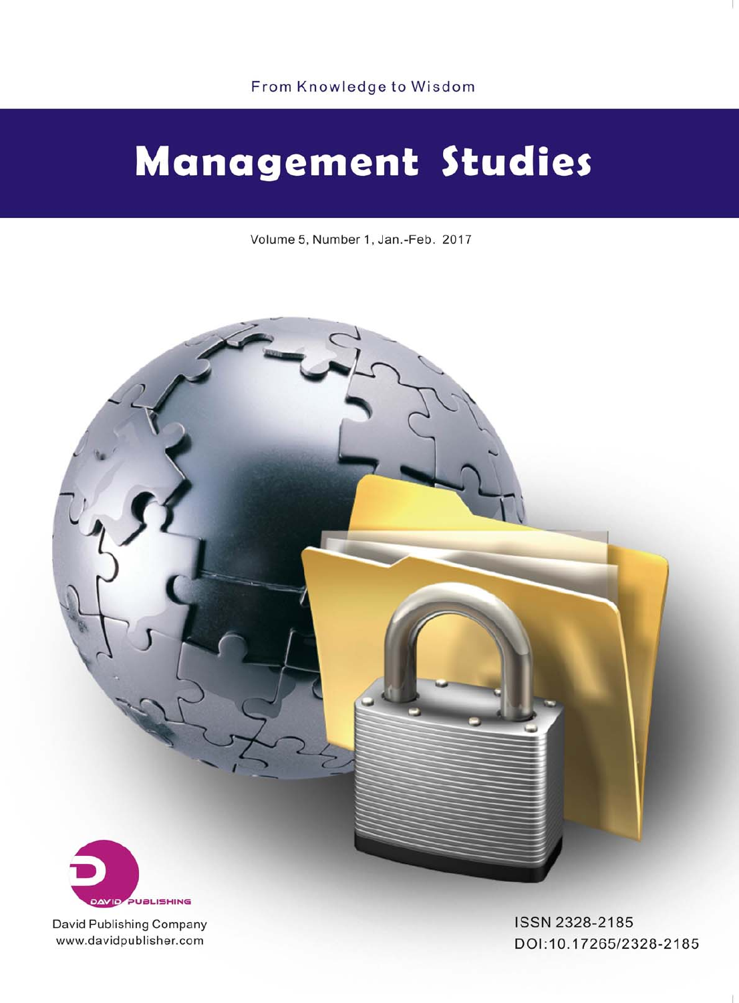# **Management Studies**

Volume 5, Number 1, Jan.-Feb. 2017



David Publishing Company www.davidpublisher.com

ISSN 2328-2185 DOI:10.17265/2328-2185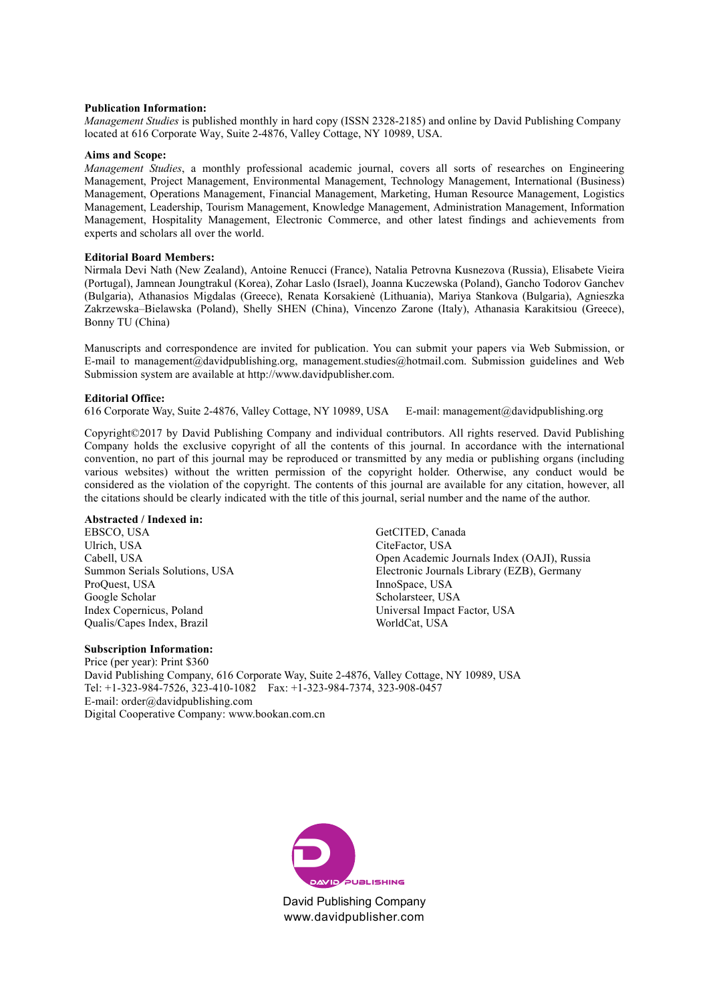#### **Publication Information:**

*Management Studies* is published monthly in hard copy (ISSN 2328-2185) and online by David Publishing Company located at 616 Corporate Way, Suite 2-4876, Valley Cottage, NY 10989, USA.

#### **Aims and Scope:**

*Management Studies*, a monthly professional academic journal, covers all sorts of researches on Engineering Management, Project Management, Environmental Management, Technology Management, International (Business) Management, Operations Management, Financial Management, Marketing, Human Resource Management, Logistics Management, Leadership, Tourism Management, Knowledge Management, Administration Management, Information Management, Hospitality Management, Electronic Commerce, and other latest findings and achievements from experts and scholars all over the world.

#### **Editorial Board Members:**

Nirmala Devi Nath (New Zealand), Antoine Renucci (France), Natalia Petrovna Kusnezova (Russia), Elisabete Vieira (Portugal), Jamnean Joungtrakul (Korea), Zohar Laslo (Israel), Joanna Kuczewska (Poland), Gancho Todorov Ganchev (Bulgaria), Athanasios Migdalas (Greece), Renata Korsakienė (Lithuania), Mariya Stankova (Bulgaria), Agnieszka Zakrzewska–Bielawska (Poland), Shelly SHEN (China), Vincenzo Zarone (Italy), Athanasia Karakitsiou (Greece), Bonny TU (China)

Manuscripts and correspondence are invited for publication. You can submit your papers via Web Submission, or E-mail to management@davidpublishing.org, management.studies@hotmail.com. Submission guidelines and Web Submission system are available at http://www.davidpublisher.com.

#### **Editorial Office:**

616 Corporate Way, Suite 2-4876, Valley Cottage, NY 10989, USA E-mail: management@davidpublishing.org

Copyright©2017 by David Publishing Company and individual contributors. All rights reserved. David Publishing Company holds the exclusive copyright of all the contents of this journal. In accordance with the international convention, no part of this journal may be reproduced or transmitted by any media or publishing organs (including various websites) without the written permission of the copyright holder. Otherwise, any conduct would be considered as the violation of the copyright. The contents of this journal are available for any citation, however, all the citations should be clearly indicated with the title of this journal, serial number and the name of the author.

#### **Abstracted / Indexed in:**

EBSCO, USA Ulrich, USA Cabell, USA Summon Serials Solutions, USA ProQuest, USA Google Scholar Index Copernicus, Poland Qualis/Capes Index, Brazil

Digital Cooperative Company: www.bookan.com.cn

**Subscription Information:**  Price (per year): Print \$360 David Publishing Company, 616 Corporate Way, Suite 2-4876, Valley Cottage, NY 10989, USA Tel: +1-323-984-7526, 323-410-1082 Fax: +1-323-984-7374, 323-908-0457 E-mail: order@davidpublishing.com

GetCITED, Canada CiteFactor, USA Open Academic Journals Index (OAJI), Russia Electronic Journals Library (EZB), Germany InnoSpace, USA Scholarsteer, USA Universal Impact Factor, USA WorldCat, USA



David Publishing Company www.davidpublisher.com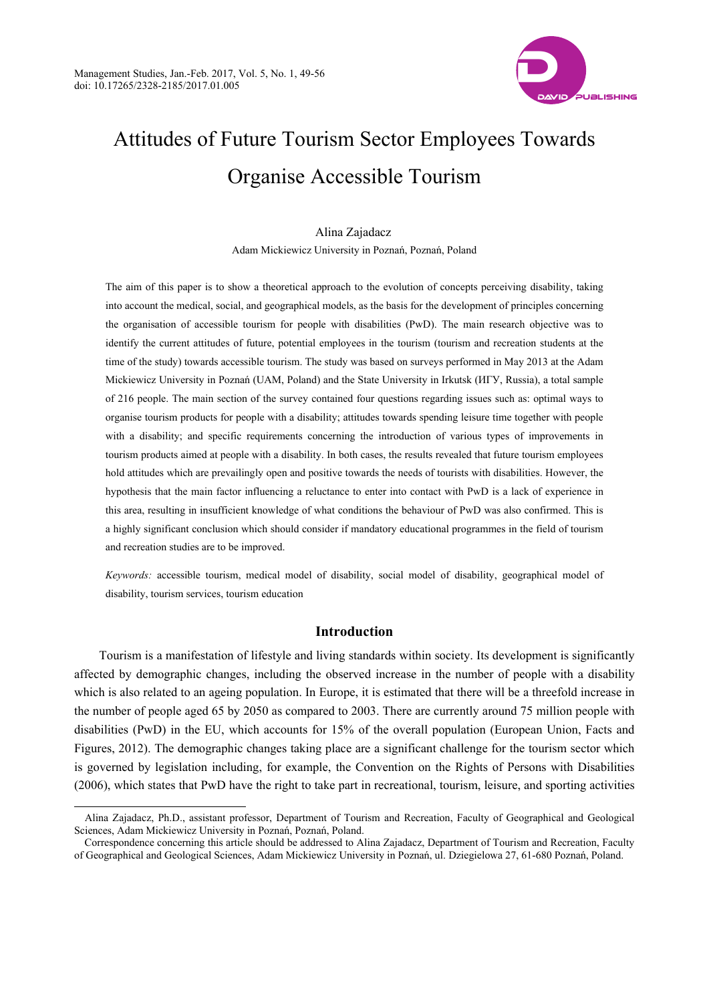

# Attitudes of Future Tourism Sector Employees Towards Organise Accessible Tourism

### Alina Zajadacz Adam Mickiewicz University in Poznań, Poznań, Poland

The aim of this paper is to show a theoretical approach to the evolution of concepts perceiving disability, taking into account the medical, social, and geographical models, as the basis for the development of principles concerning the organisation of accessible tourism for people with disabilities (PwD). The main research objective was to identify the current attitudes of future, potential employees in the tourism (tourism and recreation students at the time of the study) towards accessible tourism. The study was based on surveys performed in May 2013 at the Adam Mickiewicz University in Poznań (UAM, Poland) and the State University in Irkutsk (ИГУ, Russia), a total sample of 216 people. The main section of the survey contained four questions regarding issues such as: optimal ways to organise tourism products for people with a disability; attitudes towards spending leisure time together with people with a disability; and specific requirements concerning the introduction of various types of improvements in tourism products aimed at people with a disability. In both cases, the results revealed that future tourism employees hold attitudes which are prevailingly open and positive towards the needs of tourists with disabilities. However, the hypothesis that the main factor influencing a reluctance to enter into contact with PwD is a lack of experience in this area, resulting in insufficient knowledge of what conditions the behaviour of PwD was also confirmed. This is a highly significant conclusion which should consider if mandatory educational programmes in the field of tourism and recreation studies are to be improved.

*Keywords:* accessible tourism, medical model of disability, social model of disability, geographical model of disability, tourism services, tourism education

#### **Introduction**

Tourism is a manifestation of lifestyle and living standards within society. Its development is significantly affected by demographic changes, including the observed increase in the number of people with a disability which is also related to an ageing population. In Europe, it is estimated that there will be a threefold increase in the number of people aged 65 by 2050 as compared to 2003. There are currently around 75 million people with disabilities (PwD) in the EU, which accounts for 15% of the overall population (European Union, Facts and Figures, 2012). The demographic changes taking place are a significant challenge for the tourism sector which is governed by legislation including, for example, the Convention on the Rights of Persons with Disabilities (2006), which states that PwD have the right to take part in recreational, tourism, leisure, and sporting activities

Alina Zajadacz, Ph.D., assistant professor, Department of Tourism and Recreation, Faculty of Geographical and Geological Sciences, Adam Mickiewicz University in Poznań, Poznań, Poland.

Correspondence concerning this article should be addressed to Alina Zajadacz, Department of Tourism and Recreation, Faculty of Geographical and Geological Sciences, Adam Mickiewicz University in Poznań, ul. Dziegielowa 27, 61-680 Poznań, Poland.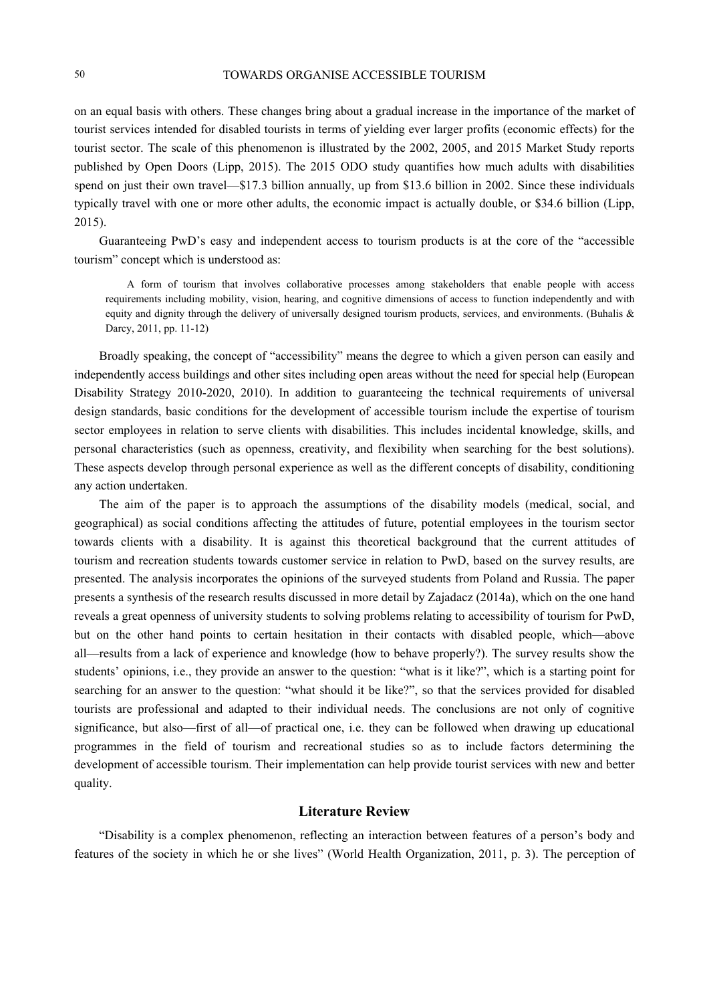on an equal basis with others. These changes bring about a gradual increase in the importance of the market of tourist services intended for disabled tourists in terms of yielding ever larger profits (economic effects) for the tourist sector. The scale of this phenomenon is illustrated by the 2002, 2005, and 2015 Market Study reports published by Open Doors (Lipp, 2015). The 2015 ODO study quantifies how much adults with disabilities spend on just their own travel—\$17.3 billion annually, up from \$13.6 billion in 2002. Since these individuals typically travel with one or more other adults, the economic impact is actually double, or \$34.6 billion (Lipp, 2015).

Guaranteeing PwD's easy and independent access to tourism products is at the core of the "accessible tourism" concept which is understood as:

A form of tourism that involves collaborative processes among stakeholders that enable people with access requirements including mobility, vision, hearing, and cognitive dimensions of access to function independently and with equity and dignity through the delivery of universally designed tourism products, services, and environments. (Buhalis & Darcy, 2011, pp. 11-12)

Broadly speaking, the concept of "accessibility" means the degree to which a given person can easily and independently access buildings and other sites including open areas without the need for special help (European Disability Strategy 2010-2020, 2010). In addition to guaranteeing the technical requirements of universal design standards, basic conditions for the development of accessible tourism include the expertise of tourism sector employees in relation to serve clients with disabilities. This includes incidental knowledge, skills, and personal characteristics (such as openness, creativity, and flexibility when searching for the best solutions). These aspects develop through personal experience as well as the different concepts of disability, conditioning any action undertaken.

The aim of the paper is to approach the assumptions of the disability models (medical, social, and geographical) as social conditions affecting the attitudes of future, potential employees in the tourism sector towards clients with a disability. It is against this theoretical background that the current attitudes of tourism and recreation students towards customer service in relation to PwD, based on the survey results, are presented. The analysis incorporates the opinions of the surveyed students from Poland and Russia. The paper presents a synthesis of the research results discussed in more detail by Zajadacz (2014a), which on the one hand reveals a great openness of university students to solving problems relating to accessibility of tourism for PwD, but on the other hand points to certain hesitation in their contacts with disabled people, which—above all—results from a lack of experience and knowledge (how to behave properly?). The survey results show the students' opinions, i.e., they provide an answer to the question: "what is it like?", which is a starting point for searching for an answer to the question: "what should it be like?", so that the services provided for disabled tourists are professional and adapted to their individual needs. The conclusions are not only of cognitive significance, but also—first of all—of practical one, i.e. they can be followed when drawing up educational programmes in the field of tourism and recreational studies so as to include factors determining the development of accessible tourism. Their implementation can help provide tourist services with new and better quality.

#### **Literature Review**

"Disability is a complex phenomenon, reflecting an interaction between features of a person's body and features of the society in which he or she lives" (World Health Organization, 2011, p. 3). The perception of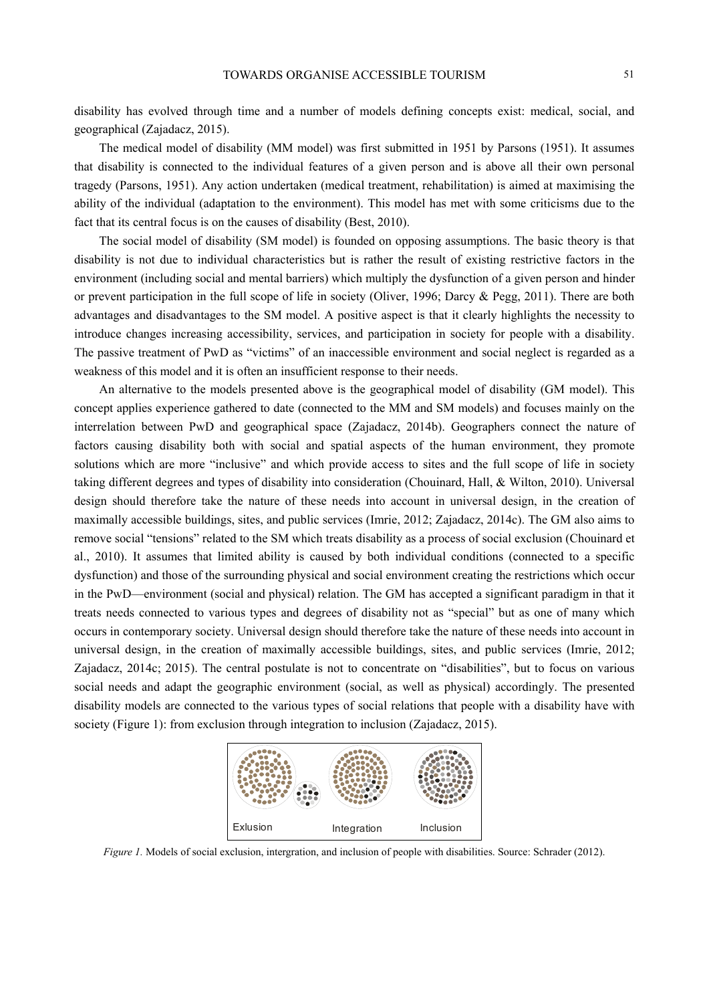disability has evolved through time and a number of models defining concepts exist: medical, social, and geographical (Zajadacz, 2015).

The medical model of disability (MM model) was first submitted in 1951 by Parsons (1951). It assumes that disability is connected to the individual features of a given person and is above all their own personal tragedy (Parsons, 1951). Any action undertaken (medical treatment, rehabilitation) is aimed at maximising the ability of the individual (adaptation to the environment). This model has met with some criticisms due to the fact that its central focus is on the causes of disability (Best, 2010).

The social model of disability (SM model) is founded on opposing assumptions. The basic theory is that disability is not due to individual characteristics but is rather the result of existing restrictive factors in the environment (including social and mental barriers) which multiply the dysfunction of a given person and hinder or prevent participation in the full scope of life in society (Oliver, 1996; Darcy & Pegg, 2011). There are both advantages and disadvantages to the SM model. A positive aspect is that it clearly highlights the necessity to introduce changes increasing accessibility, services, and participation in society for people with a disability. The passive treatment of PwD as "victims" of an inaccessible environment and social neglect is regarded as a weakness of this model and it is often an insufficient response to their needs.

An alternative to the models presented above is the geographical model of disability (GM model). This concept applies experience gathered to date (connected to the MM and SM models) and focuses mainly on the interrelation between PwD and geographical space (Zajadacz, 2014b). Geographers connect the nature of factors causing disability both with social and spatial aspects of the human environment, they promote solutions which are more "inclusive" and which provide access to sites and the full scope of life in society taking different degrees and types of disability into consideration (Chouinard, Hall, & Wilton, 2010). Universal design should therefore take the nature of these needs into account in universal design, in the creation of maximally accessible buildings, sites, and public services (Imrie, 2012; Zajadacz, 2014c). The GM also aims to remove social "tensions" related to the SM which treats disability as a process of social exclusion (Chouinard et al., 2010). It assumes that limited ability is caused by both individual conditions (connected to a specific dysfunction) and those of the surrounding physical and social environment creating the restrictions which occur in the PwD—environment (social and physical) relation. The GM has accepted a significant paradigm in that it treats needs connected to various types and degrees of disability not as "special" but as one of many which occurs in contemporary society. Universal design should therefore take the nature of these needs into account in universal design, in the creation of maximally accessible buildings, sites, and public services (Imrie, 2012; Zajadacz, 2014c; 2015). The central postulate is not to concentrate on "disabilities", but to focus on various social needs and adapt the geographic environment (social, as well as physical) accordingly. The presented disability models are connected to the various types of social relations that people with a disability have with society (Figure 1): from exclusion through integration to inclusion (Zajadacz, 2015).



*Figure 1.* Models of social exclusion, intergration, and inclusion of people with disabilities. Source: Schrader (2012).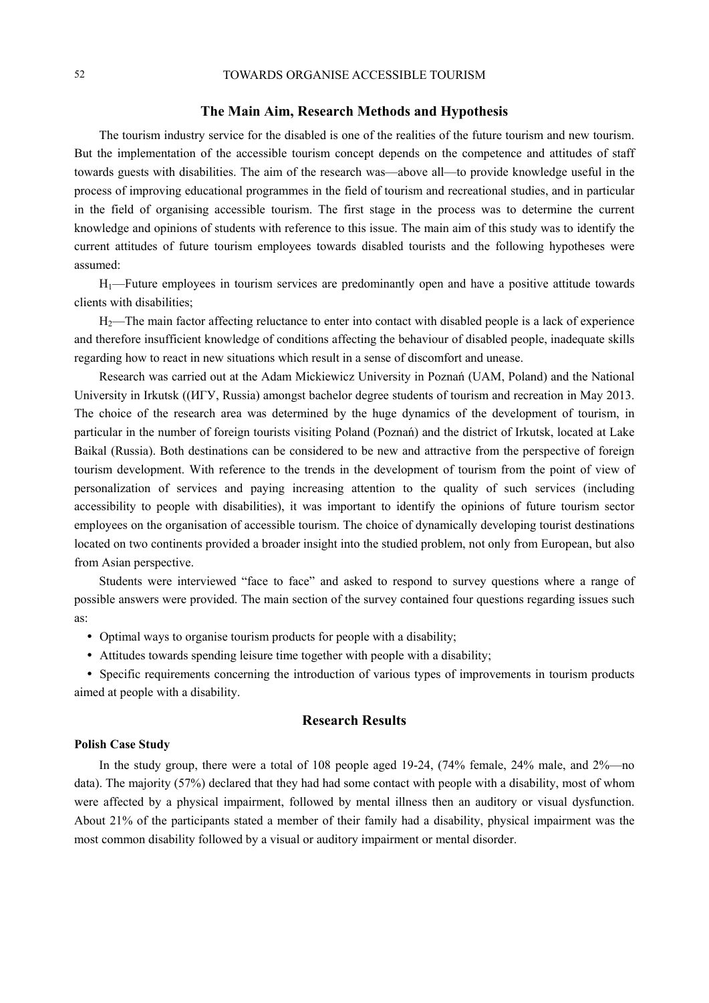#### **The Main Aim, Research Methods and Hypothesis**

The tourism industry service for the disabled is one of the realities of the future tourism and new tourism. But the implementation of the accessible tourism concept depends on the competence and attitudes of staff towards guests with disabilities. The aim of the research was—above all—to provide knowledge useful in the process of improving educational programmes in the field of tourism and recreational studies, and in particular in the field of organising accessible tourism. The first stage in the process was to determine the current knowledge and opinions of students with reference to this issue. The main aim of this study was to identify the current attitudes of future tourism employees towards disabled tourists and the following hypotheses were assumed:

H1—Future employees in tourism services are predominantly open and have a positive attitude towards clients with disabilities;

H<sub>2</sub>—The main factor affecting reluctance to enter into contact with disabled people is a lack of experience and therefore insufficient knowledge of conditions affecting the behaviour of disabled people, inadequate skills regarding how to react in new situations which result in a sense of discomfort and unease.

Research was carried out at the Adam Mickiewicz University in Poznań (UAM, Poland) and the National University in Irkutsk ((ИГУ, Russia) amongst bachelor degree students of tourism and recreation in May 2013. The choice of the research area was determined by the huge dynamics of the development of tourism, in particular in the number of foreign tourists visiting Poland (Poznań) and the district of Irkutsk, located at Lake Baikal (Russia). Both destinations can be considered to be new and attractive from the perspective of foreign tourism development. With reference to the trends in the development of tourism from the point of view of personalization of services and paying increasing attention to the quality of such services (including accessibility to people with disabilities), it was important to identify the opinions of future tourism sector employees on the organisation of accessible tourism. The choice of dynamically developing tourist destinations located on two continents provided a broader insight into the studied problem, not only from European, but also from Asian perspective.

Students were interviewed "face to face" and asked to respond to survey questions where a range of possible answers were provided. The main section of the survey contained four questions regarding issues such as:

- Optimal ways to organise tourism products for people with a disability;
- Attitudes towards spending leisure time together with people with a disability;

 Specific requirements concerning the introduction of various types of improvements in tourism products aimed at people with a disability.

#### **Research Results**

#### **Polish Case Study**

In the study group, there were a total of 108 people aged 19-24, (74% female, 24% male, and 2%—no data). The majority (57%) declared that they had had some contact with people with a disability, most of whom were affected by a physical impairment, followed by mental illness then an auditory or visual dysfunction. About 21% of the participants stated a member of their family had a disability, physical impairment was the most common disability followed by a visual or auditory impairment or mental disorder.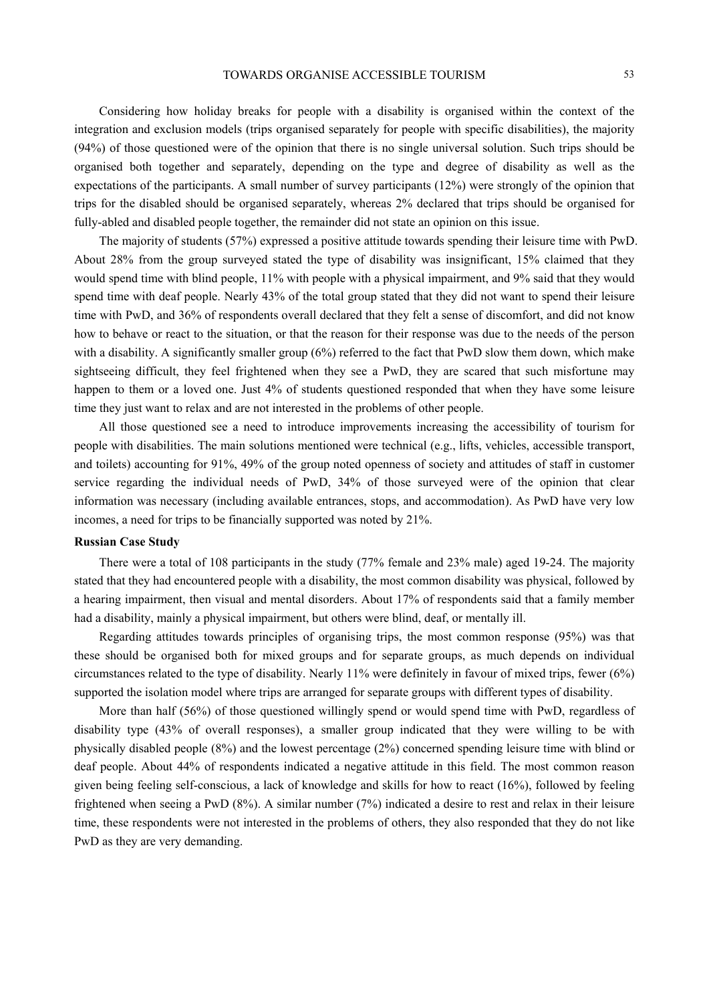Considering how holiday breaks for people with a disability is organised within the context of the integration and exclusion models (trips organised separately for people with specific disabilities), the majority (94%) of those questioned were of the opinion that there is no single universal solution. Such trips should be organised both together and separately, depending on the type and degree of disability as well as the expectations of the participants. A small number of survey participants (12%) were strongly of the opinion that trips for the disabled should be organised separately, whereas 2% declared that trips should be organised for fully-abled and disabled people together, the remainder did not state an opinion on this issue.

The majority of students (57%) expressed a positive attitude towards spending their leisure time with PwD. About 28% from the group surveyed stated the type of disability was insignificant, 15% claimed that they would spend time with blind people, 11% with people with a physical impairment, and 9% said that they would spend time with deaf people. Nearly 43% of the total group stated that they did not want to spend their leisure time with PwD, and 36% of respondents overall declared that they felt a sense of discomfort, and did not know how to behave or react to the situation, or that the reason for their response was due to the needs of the person with a disability. A significantly smaller group (6%) referred to the fact that PwD slow them down, which make sightseeing difficult, they feel frightened when they see a PwD, they are scared that such misfortune may happen to them or a loved one. Just 4% of students questioned responded that when they have some leisure time they just want to relax and are not interested in the problems of other people.

All those questioned see a need to introduce improvements increasing the accessibility of tourism for people with disabilities. The main solutions mentioned were technical (e.g., lifts, vehicles, accessible transport, and toilets) accounting for 91%, 49% of the group noted openness of society and attitudes of staff in customer service regarding the individual needs of PwD, 34% of those surveyed were of the opinion that clear information was necessary (including available entrances, stops, and accommodation). As PwD have very low incomes, a need for trips to be financially supported was noted by 21%.

#### **Russian Case Study**

There were a total of 108 participants in the study (77% female and 23% male) aged 19-24. The majority stated that they had encountered people with a disability, the most common disability was physical, followed by a hearing impairment, then visual and mental disorders. About 17% of respondents said that a family member had a disability, mainly a physical impairment, but others were blind, deaf, or mentally ill.

Regarding attitudes towards principles of organising trips, the most common response (95%) was that these should be organised both for mixed groups and for separate groups, as much depends on individual circumstances related to the type of disability. Nearly 11% were definitely in favour of mixed trips, fewer (6%) supported the isolation model where trips are arranged for separate groups with different types of disability.

More than half (56%) of those questioned willingly spend or would spend time with PwD, regardless of disability type (43% of overall responses), a smaller group indicated that they were willing to be with physically disabled people (8%) and the lowest percentage (2%) concerned spending leisure time with blind or deaf people. About 44% of respondents indicated a negative attitude in this field. The most common reason given being feeling self-conscious, a lack of knowledge and skills for how to react (16%), followed by feeling frightened when seeing a PwD (8%). A similar number (7%) indicated a desire to rest and relax in their leisure time, these respondents were not interested in the problems of others, they also responded that they do not like PwD as they are very demanding.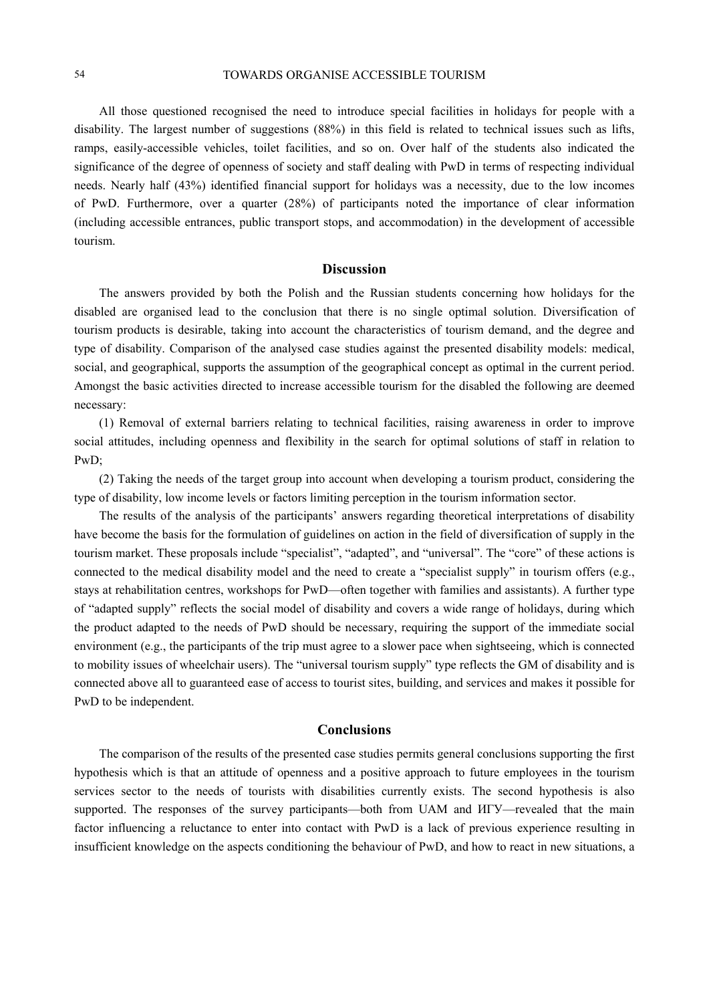#### 54 TOWARDS ORGANISE ACCESSIBLE TOURISM

All those questioned recognised the need to introduce special facilities in holidays for people with a disability. The largest number of suggestions (88%) in this field is related to technical issues such as lifts, ramps, easily-accessible vehicles, toilet facilities, and so on. Over half of the students also indicated the significance of the degree of openness of society and staff dealing with PwD in terms of respecting individual needs. Nearly half (43%) identified financial support for holidays was a necessity, due to the low incomes of PwD. Furthermore, over a quarter (28%) of participants noted the importance of clear information (including accessible entrances, public transport stops, and accommodation) in the development of accessible tourism.

#### **Discussion**

The answers provided by both the Polish and the Russian students concerning how holidays for the disabled are organised lead to the conclusion that there is no single optimal solution. Diversification of tourism products is desirable, taking into account the characteristics of tourism demand, and the degree and type of disability. Comparison of the analysed case studies against the presented disability models: medical, social, and geographical, supports the assumption of the geographical concept as optimal in the current period. Amongst the basic activities directed to increase accessible tourism for the disabled the following are deemed necessary:

(1) Removal of external barriers relating to technical facilities, raising awareness in order to improve social attitudes, including openness and flexibility in the search for optimal solutions of staff in relation to PwD;

(2) Taking the needs of the target group into account when developing a tourism product, considering the type of disability, low income levels or factors limiting perception in the tourism information sector.

The results of the analysis of the participants' answers regarding theoretical interpretations of disability have become the basis for the formulation of guidelines on action in the field of diversification of supply in the tourism market. These proposals include "specialist", "adapted", and "universal". The "core" of these actions is connected to the medical disability model and the need to create a "specialist supply" in tourism offers (e.g., stays at rehabilitation centres, workshops for PwD—often together with families and assistants). A further type of "adapted supply" reflects the social model of disability and covers a wide range of holidays, during which the product adapted to the needs of PwD should be necessary, requiring the support of the immediate social environment (e.g., the participants of the trip must agree to a slower pace when sightseeing, which is connected to mobility issues of wheelchair users). The "universal tourism supply" type reflects the GM of disability and is connected above all to guaranteed ease of access to tourist sites, building, and services and makes it possible for PwD to be independent.

#### **Conclusions**

The comparison of the results of the presented case studies permits general conclusions supporting the first hypothesis which is that an attitude of openness and a positive approach to future employees in the tourism services sector to the needs of tourists with disabilities currently exists. The second hypothesis is also supported. The responses of the survey participants—both from UAM and  $M\Gamma$ Y—revealed that the main factor influencing a reluctance to enter into contact with PwD is a lack of previous experience resulting in insufficient knowledge on the aspects conditioning the behaviour of PwD, and how to react in new situations, a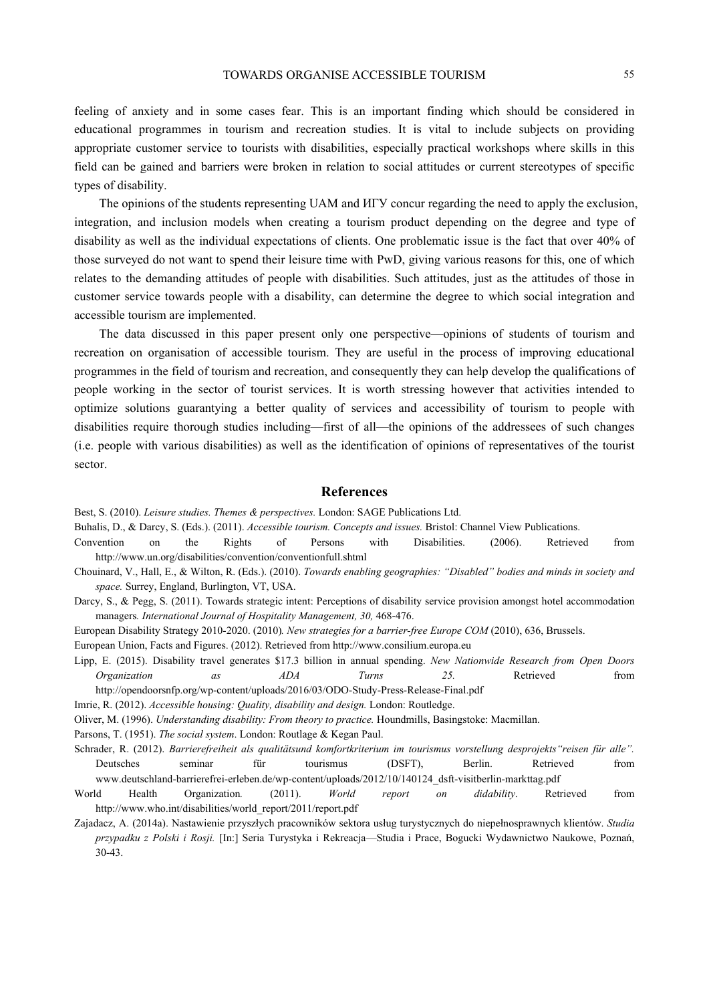feeling of anxiety and in some cases fear. This is an important finding which should be considered in educational programmes in tourism and recreation studies. It is vital to include subjects on providing appropriate customer service to tourists with disabilities, especially practical workshops where skills in this field can be gained and barriers were broken in relation to social attitudes or current stereotypes of specific types of disability.

The opinions of the students representing UAM and ИГУ concur regarding the need to apply the exclusion, integration, and inclusion models when creating a tourism product depending on the degree and type of disability as well as the individual expectations of clients. One problematic issue is the fact that over 40% of those surveyed do not want to spend their leisure time with PwD, giving various reasons for this, one of which relates to the demanding attitudes of people with disabilities. Such attitudes, just as the attitudes of those in customer service towards people with a disability, can determine the degree to which social integration and accessible tourism are implemented.

The data discussed in this paper present only one perspective—opinions of students of tourism and recreation on organisation of accessible tourism. They are useful in the process of improving educational programmes in the field of tourism and recreation, and consequently they can help develop the qualifications of people working in the sector of tourist services. It is worth stressing however that activities intended to optimize solutions guarantying a better quality of services and accessibility of tourism to people with disabilities require thorough studies including—first of all—the opinions of the addressees of such changes (i.e. people with various disabilities) as well as the identification of opinions of representatives of the tourist sector.

#### **References**

Best, S. (2010). *Leisure studies. Themes & perspectives.* London: SAGE Publications Ltd.

- Buhalis, D., & Darcy, S. (Eds.). (2011). *Accessible tourism. Concepts and issues.* Bristol: Channel View Publications.
- Convention on the Rights of Persons with Disabilities. (2006). Retrieved from http://www.un.org/disabilities/convention/conventionfull.shtml
- Chouinard, V., Hall, E., & Wilton, R. (Eds.). (2010). *Towards enabling geographies: "Disabled" bodies and minds in society and space.* Surrey, England, Burlington, VT, USA.
- Darcy, S., & Pegg, S. (2011). Towards strategic intent: Perceptions of disability service provision amongst hotel accommodation managers*. International Journal of Hospitality Management, 30,* 468-476.

European Disability Strategy 2010-2020. (2010)*. New strategies for a barrier-free Europe COM* (2010), 636, Brussels.

European Union, Facts and Figures. (2012). Retrieved from http://www.consilium.europa.eu

- Lipp, E. (2015). Disability travel generates \$17.3 billion in annual spending. *New Nationwide Research from Open Doors Organization as ADA Turns 25.* Retrieved from
	- http://opendoorsnfp.org/wp-content/uploads/2016/03/ODO-Study-Press-Release-Final.pdf

Imrie, R. (2012). *Accessible housing: Quality, disability and design.* London: Routledge.

Oliver, M. (1996). *Understanding disability: From theory to practice.* Houndmills, Basingstoke: Macmillan.

Parsons, T. (1951). *The social system*. London: Routlage & Kegan Paul.

- Schrader, R. (2012). *Barrierefreiheit als qualitätsund komfortkriterium im tourismus vorstellung desprojekts"reisen für alle".*  Deutsches seminar für tourismus (DSFT), Berlin. Retrieved from www.deutschland-barrierefrei-erleben.de/wp-content/uploads/2012/10/140124\_dsft-visitberlin-markttag.pdf
- World Health Organization*.* (2011). *World report on didability*. Retrieved from http://www.who.int/disabilities/world\_report/2011/report.pdf
- Zajadacz, A. (2014a). Nastawienie przyszłych pracowników sektora usług turystycznych do niepełnosprawnych klientów. *Studia przypadku z Polski i Rosji.* [In:] Seria Turystyka i Rekreacja—Studia i Prace, Bogucki Wydawnictwo Naukowe, Poznań, 30-43.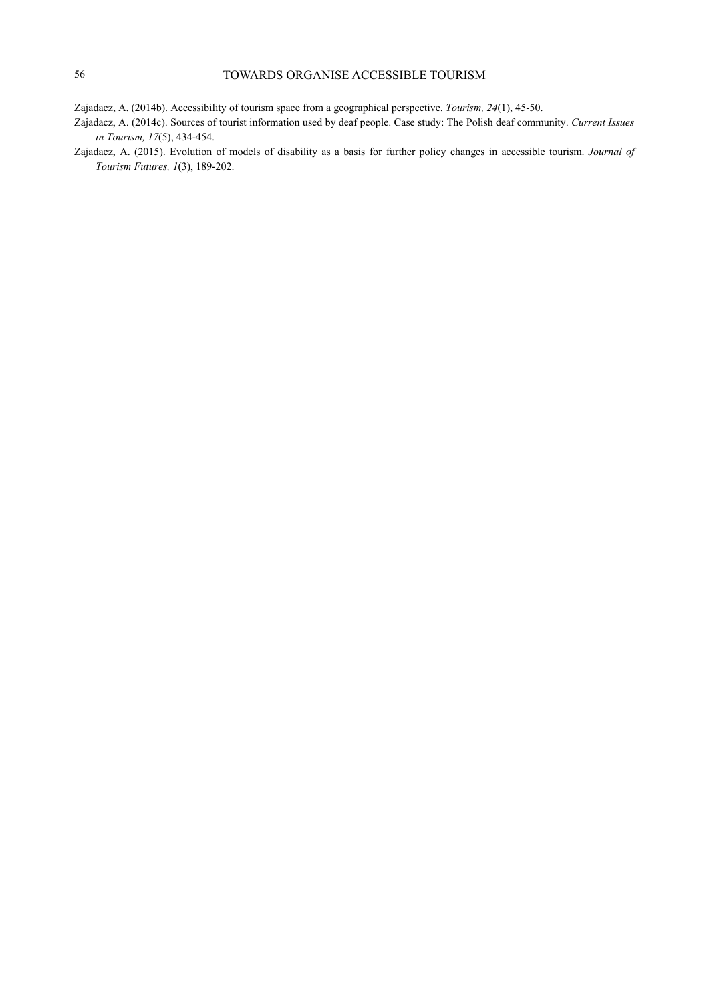- Zajadacz, A. (2014b). Accessibility of tourism space from a geographical perspective. *Tourism, 24*(1), 45-50.
- Zajadacz, A. (2014c). Sources of tourist information used by deaf people. Case study: The Polish deaf community. *Current Issues in Tourism, 17*(5), 434-454.
- Zajadacz, A. (2015). Evolution of models of disability as a basis for further policy changes in accessible tourism. *Journal of Tourism Futures, 1*(3), 189-202.